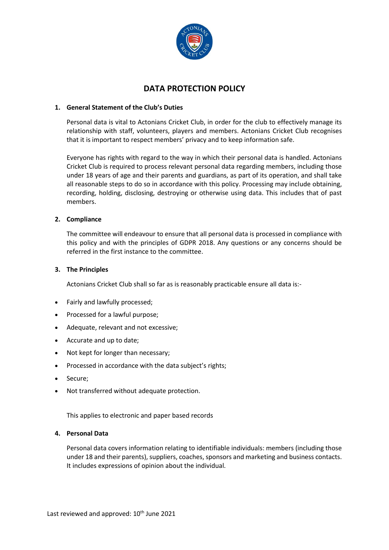

# **DATA PROTECTION POLICY**

# **1. General Statement of the Club's Duties**

Personal data is vital to Actonians Cricket Club, in order for the club to effectively manage its relationship with staff, volunteers, players and members. Actonians Cricket Club recognises that it is important to respect members' privacy and to keep information safe.

Everyone has rights with regard to the way in which their personal data is handled. Actonians Cricket Club is required to process relevant personal data regarding members, including those under 18 years of age and their parents and guardians, as part of its operation, and shall take all reasonable steps to do so in accordance with this policy. Processing may include obtaining, recording, holding, disclosing, destroying or otherwise using data. This includes that of past members.

# **2. Compliance**

The committee will endeavour to ensure that all personal data is processed in compliance with this policy and with the principles of GDPR 2018. Any questions or any concerns should be referred in the first instance to the committee.

# **3. The Principles**

Actonians Cricket Club shall so far as is reasonably practicable ensure all data is:-

- Fairly and lawfully processed;
- Processed for a lawful purpose;
- Adequate, relevant and not excessive;
- Accurate and up to date;
- Not kept for longer than necessary;
- Processed in accordance with the data subject's rights;
- Secure;
- Not transferred without adequate protection.

This applies to electronic and paper based records

## **4. Personal Data**

Personal data covers information relating to identifiable individuals: members (including those under 18 and their parents), suppliers, coaches, sponsors and marketing and business contacts. It includes expressions of opinion about the individual.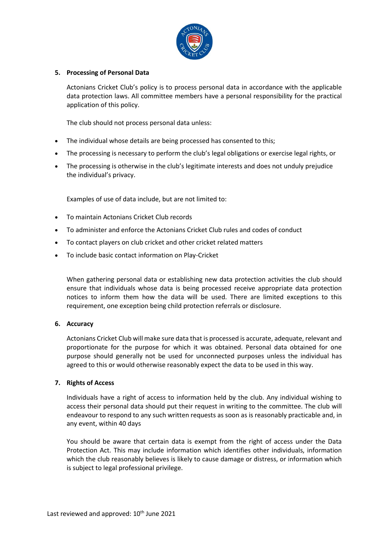

## **5. Processing of Personal Data**

Actonians Cricket Club's policy is to process personal data in accordance with the applicable data protection laws. All committee members have a personal responsibility for the practical application of this policy.

The club should not process personal data unless:

- The individual whose details are being processed has consented to this;
- The processing is necessary to perform the club's legal obligations or exercise legal rights, or
- The processing is otherwise in the club's legitimate interests and does not unduly prejudice the individual's privacy.

Examples of use of data include, but are not limited to:

- To maintain Actonians Cricket Club records
- To administer and enforce the Actonians Cricket Club rules and codes of conduct
- To contact players on club cricket and other cricket related matters
- To include basic contact information on Play-Cricket

When gathering personal data or establishing new data protection activities the club should ensure that individuals whose data is being processed receive appropriate data protection notices to inform them how the data will be used. There are limited exceptions to this requirement, one exception being child protection referrals or disclosure.

#### **6. Accuracy**

Actonians Cricket Club will make sure data that is processed is accurate, adequate, relevant and proportionate for the purpose for which it was obtained. Personal data obtained for one purpose should generally not be used for unconnected purposes unless the individual has agreed to this or would otherwise reasonably expect the data to be used in this way.

#### **7. Rights of Access**

Individuals have a right of access to information held by the club. Any individual wishing to access their personal data should put their request in writing to the committee. The club will endeavour to respond to any such written requests as soon as is reasonably practicable and, in any event, within 40 days

You should be aware that certain data is exempt from the right of access under the Data Protection Act. This may include information which identifies other individuals, information which the club reasonably believes is likely to cause damage or distress, or information which is subject to legal professional privilege.